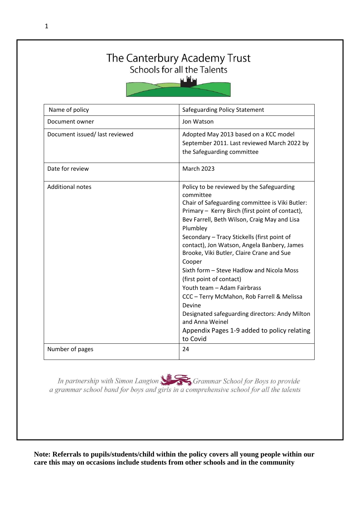# The Canterbury Academy Trust Schools for all the Talents



| Name of policy                | <b>Safeguarding Policy Statement</b>                                                                                                                                                                                                                                                                                                                                                                                                                                                                                                                                                                                                                                          |  |
|-------------------------------|-------------------------------------------------------------------------------------------------------------------------------------------------------------------------------------------------------------------------------------------------------------------------------------------------------------------------------------------------------------------------------------------------------------------------------------------------------------------------------------------------------------------------------------------------------------------------------------------------------------------------------------------------------------------------------|--|
| Document owner                | Jon Watson                                                                                                                                                                                                                                                                                                                                                                                                                                                                                                                                                                                                                                                                    |  |
| Document issued/last reviewed | Adopted May 2013 based on a KCC model<br>September 2011. Last reviewed March 2022 by<br>the Safeguarding committee                                                                                                                                                                                                                                                                                                                                                                                                                                                                                                                                                            |  |
| Date for review               | <b>March 2023</b>                                                                                                                                                                                                                                                                                                                                                                                                                                                                                                                                                                                                                                                             |  |
| <b>Additional notes</b>       | Policy to be reviewed by the Safeguarding<br>committee<br>Chair of Safeguarding committee is Viki Butler:<br>Primary - Kerry Birch (first point of contact),<br>Bev Farrell, Beth Wilson, Craig May and Lisa<br>Plumbley<br>Secondary - Tracy Stickells (first point of<br>contact), Jon Watson, Angela Banbery, James<br>Brooke, Viki Butler, Claire Crane and Sue<br>Cooper<br>Sixth form - Steve Hadlow and Nicola Moss<br>(first point of contact)<br>Youth team - Adam Fairbrass<br>CCC - Terry McMahon, Rob Farrell & Melissa<br>Devine<br>Designated safeguarding directors: Andy Milton<br>and Anna Weinel<br>Appendix Pages 1-9 added to policy relating<br>to Covid |  |
| Number of pages               | 24                                                                                                                                                                                                                                                                                                                                                                                                                                                                                                                                                                                                                                                                            |  |

In partnership with Simon Langton Sex Grammar School for Boys to provide a grammar school band for boys and girls in a comprehensive school for all the talents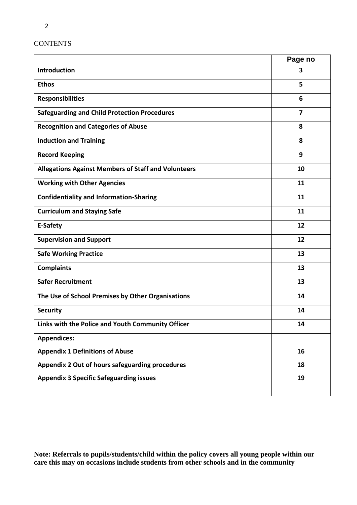#### **CONTENTS**

|                                                            | Page no |
|------------------------------------------------------------|---------|
| Introduction                                               | 3       |
| <b>Ethos</b>                                               | 5       |
| <b>Responsibilities</b>                                    | 6       |
| <b>Safeguarding and Child Protection Procedures</b>        | 7       |
| <b>Recognition and Categories of Abuse</b>                 | 8       |
| <b>Induction and Training</b>                              | 8       |
| <b>Record Keeping</b>                                      | 9       |
| <b>Allegations Against Members of Staff and Volunteers</b> | 10      |
| <b>Working with Other Agencies</b>                         | 11      |
| <b>Confidentiality and Information-Sharing</b>             | 11      |
| <b>Curriculum and Staying Safe</b>                         | 11      |
| E-Safety                                                   | 12      |
| <b>Supervision and Support</b>                             | 12      |
| <b>Safe Working Practice</b>                               | 13      |
| <b>Complaints</b>                                          | 13      |
| <b>Safer Recruitment</b>                                   | 13      |
| The Use of School Premises by Other Organisations          | 14      |
| <b>Security</b>                                            | 14      |
| Links with the Police and Youth Community Officer          | 14      |
| <b>Appendices:</b>                                         |         |
| <b>Appendix 1 Definitions of Abuse</b>                     | 16      |
| Appendix 2 Out of hours safeguarding procedures            | 18      |
| <b>Appendix 3 Specific Safeguarding issues</b>             | 19      |
|                                                            |         |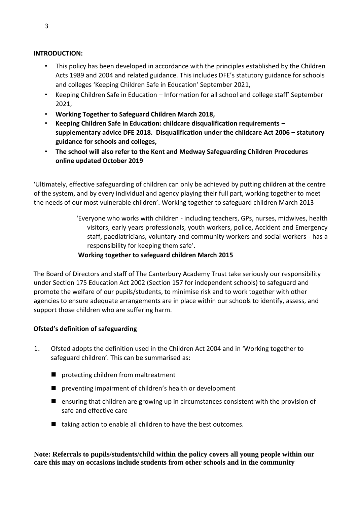#### **INTRODUCTION:**

- This policy has been developed in accordance with the principles established by the Children Acts 1989 and 2004 and related guidance. This includes DFE's statutory guidance for schools and colleges 'Keeping Children Safe in Education' September 2021,
- Keeping Children Safe in Education Information for all school and college staff' September 2021,
- **Working Together to Safeguard Children March 2018,**
- **Keeping Children Safe in Education: childcare disqualification requirements – supplementary advice DFE 2018. Disqualification under the childcare Act 2006 – statutory guidance for schools and colleges,**
- **The school will also refer to the Kent and Medway Safeguarding Children Procedures online updated October 2019**

'Ultimately, effective safeguarding of children can only be achieved by putting children at the centre of the system, and by every individual and agency playing their full part, working together to meet the needs of our most vulnerable children'. Working together to safeguard children March 2013

> 'Everyone who works with children - including teachers, GPs, nurses, midwives, health visitors, early years professionals, youth workers, police, Accident and Emergency staff, paediatricians, voluntary and community workers and social workers - has a responsibility for keeping them safe'.

#### **Working together to safeguard children March 2015**

The Board of Directors and staff of The Canterbury Academy Trust take seriously our responsibility under Section 175 Education Act 2002 (Section 157 for independent schools) to safeguard and promote the welfare of our pupils/students, to minimise risk and to work together with other agencies to ensure adequate arrangements are in place within our schools to identify, assess, and support those children who are suffering harm.

#### **Ofsted's definition of safeguarding**

- 1. Ofsted adopts the definition used in the Children Act 2004 and in 'Working together to safeguard children'. This can be summarised as:
	- protecting children from maltreatment
	- preventing impairment of children's health or development
	- ensuring that children are growing up in circumstances consistent with the provision of safe and effective care
	- taking action to enable all children to have the best outcomes.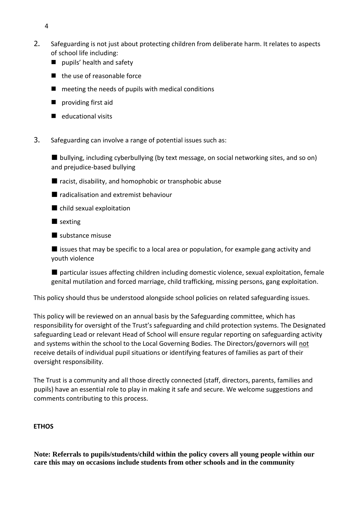- 2. Safeguarding is not just about protecting children from deliberate harm. It relates to aspects of school life including:
	- pupils' health and safety
	- the use of reasonable force
	- meeting the needs of pupils with medical conditions
	- providing first aid
	- educational visits
- 3. Safeguarding can involve a range of potential issues such as:

■ bullying, including cyberbullying (by text message, on social networking sites, and so on) and prejudice-based bullying

■ racist, disability, and homophobic or transphobic abuse

■ radicalisation and extremist behaviour

■ child sexual exploitation

■ sexting

■ substance misuse

■ issues that may be specific to a local area or population, for example gang activity and youth violence

■ particular issues affecting children including domestic violence, sexual exploitation, female genital mutilation and forced marriage, child trafficking, missing persons, gang exploitation.

This policy should thus be understood alongside school policies on related safeguarding issues.

This policy will be reviewed on an annual basis by the Safeguarding committee, which has responsibility for oversight of the Trust's safeguarding and child protection systems. The Designated safeguarding Lead or relevant Head of School will ensure regular reporting on safeguarding activity and systems within the school to the Local Governing Bodies. The Directors/governors will not receive details of individual pupil situations or identifying features of families as part of their oversight responsibility.

The Trust is a community and all those directly connected (staff, directors, parents, families and pupils) have an essential role to play in making it safe and secure. We welcome suggestions and comments contributing to this process.

#### **ETHOS**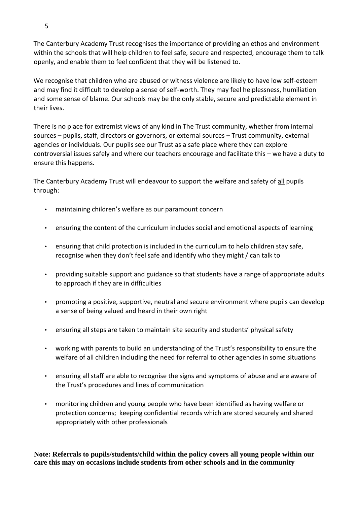The Canterbury Academy Trust recognises the importance of providing an ethos and environment within the schools that will help children to feel safe, secure and respected, encourage them to talk openly, and enable them to feel confident that they will be listened to.

We recognise that children who are abused or witness violence are likely to have low self-esteem and may find it difficult to develop a sense of self-worth. They may feel helplessness, humiliation and some sense of blame. Our schools may be the only stable, secure and predictable element in their lives.

There is no place for extremist views of any kind in The Trust community, whether from internal sources – pupils, staff, directors or governors, or external sources – Trust community, external agencies or individuals. Our pupils see our Trust as a safe place where they can explore controversial issues safely and where our teachers encourage and facilitate this – we have a duty to ensure this happens.

The Canterbury Academy Trust will endeavour to support the welfare and safety of all pupils through:

- maintaining children's welfare as our paramount concern
- ensuring the content of the curriculum includes social and emotional aspects of learning
- ensuring that child protection is included in the curriculum to help children stay safe, recognise when they don't feel safe and identify who they might / can talk to
- providing suitable support and guidance so that students have a range of appropriate adults to approach if they are in difficulties
- promoting a positive, supportive, neutral and secure environment where pupils can develop a sense of being valued and heard in their own right
- ensuring all steps are taken to maintain site security and students' physical safety
- working with parents to build an understanding of the Trust's responsibility to ensure the welfare of all children including the need for referral to other agencies in some situations
- ensuring all staff are able to recognise the signs and symptoms of abuse and are aware of the Trust's procedures and lines of communication
- monitoring children and young people who have been identified as having welfare or protection concerns; keeping confidential records which are stored securely and shared appropriately with other professionals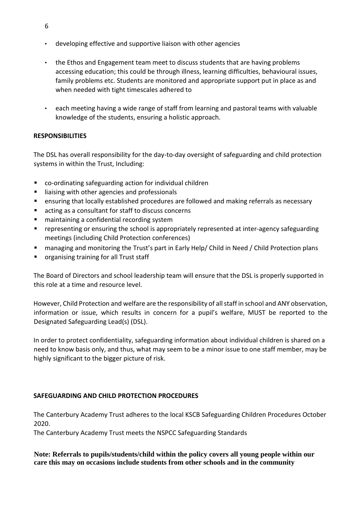- developing effective and supportive liaison with other agencies
- the Ethos and Engagement team meet to discuss students that are having problems accessing education; this could be through illness, learning difficulties, behavioural issues, family problems etc. Students are monitored and appropriate support put in place as and when needed with tight timescales adhered to
- each meeting having a wide range of staff from learning and pastoral teams with valuable knowledge of the students, ensuring a holistic approach.

#### **RESPONSIBILITIES**

The DSL has overall responsibility for the day-to-day oversight of safeguarding and child protection systems in within the Trust, Including:

- co-ordinating safeguarding action for individual children
- liaising with other agencies and professionals
- ensuring that locally established procedures are followed and making referrals as necessary
- acting as a consultant for staff to discuss concerns
- maintaining a confidential recording system
- representing or ensuring the school is appropriately represented at inter-agency safeguarding meetings (including Child Protection conferences)
- managing and monitoring the Trust's part in Early Help/ Child in Need / Child Protection plans
- organising training for all Trust staff

The Board of Directors and school leadership team will ensure that the DSL is properly supported in this role at a time and resource level.

However, Child Protection and welfare are the responsibility of all staff in school and ANY observation, information or issue, which results in concern for a pupil's welfare, MUST be reported to the Designated Safeguarding Lead(s) (DSL).

In order to protect confidentiality, safeguarding information about individual children is shared on a need to know basis only, and thus, what may seem to be a minor issue to one staff member, may be highly significant to the bigger picture of risk.

#### **SAFEGUARDING AND CHILD PROTECTION PROCEDURES**

The Canterbury Academy Trust adheres to the local KSCB Safeguarding Children Procedures October 2020.

The Canterbury Academy Trust meets the NSPCC Safeguarding Standards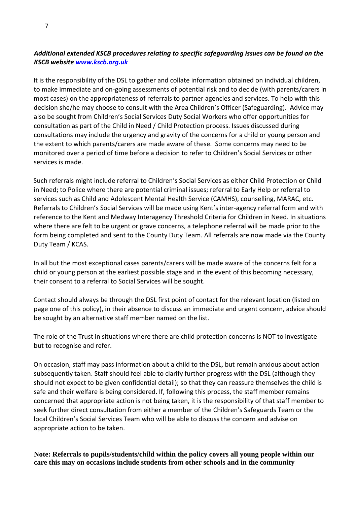#### *Additional extended KSCB procedures relating to specific safeguarding issues can be found on the KSCB website [www.kscb.org.uk](http://www.kscb.org.uk/)*

It is the responsibility of the DSL to gather and collate information obtained on individual children, to make immediate and on-going assessments of potential risk and to decide (with parents/carers in most cases) on the appropriateness of referrals to partner agencies and services. To help with this decision she/he may choose to consult with the Area Children's Officer (Safeguarding). Advice may also be sought from Children's Social Services Duty Social Workers who offer opportunities for consultation as part of the Child in Need / Child Protection process. Issues discussed during consultations may include the urgency and gravity of the concerns for a child or young person and the extent to which parents/carers are made aware of these. Some concerns may need to be monitored over a period of time before a decision to refer to Children's Social Services or other services is made.

Such referrals might include referral to Children's Social Services as either Child Protection or Child in Need; to Police where there are potential criminal issues; referral to Early Help or referral to services such as Child and Adolescent Mental Health Service (CAMHS), counselling, MARAC, etc. Referrals to Children's Social Services will be made using Kent's inter-agency referral form and with reference to the Kent and Medway Interagency Threshold Criteria for Children in Need. In situations where there are felt to be urgent or grave concerns, a telephone referral will be made prior to the form being completed and sent to the County Duty Team. All referrals are now made via the County Duty Team / KCAS.

In all but the most exceptional cases parents/carers will be made aware of the concerns felt for a child or young person at the earliest possible stage and in the event of this becoming necessary, their consent to a referral to Social Services will be sought.

Contact should always be through the DSL first point of contact for the relevant location (listed on page one of this policy), in their absence to discuss an immediate and urgent concern, advice should be sought by an alternative staff member named on the list.

The role of the Trust in situations where there are child protection concerns is NOT to investigate but to recognise and refer.

On occasion, staff may pass information about a child to the DSL, but remain anxious about action subsequently taken. Staff should feel able to clarify further progress with the DSL (although they should not expect to be given confidential detail); so that they can reassure themselves the child is safe and their welfare is being considered. If, following this process, the staff member remains concerned that appropriate action is not being taken, it is the responsibility of that staff member to seek further direct consultation from either a member of the Children's Safeguards Team or the local Children's Social Services Team who will be able to discuss the concern and advise on appropriate action to be taken.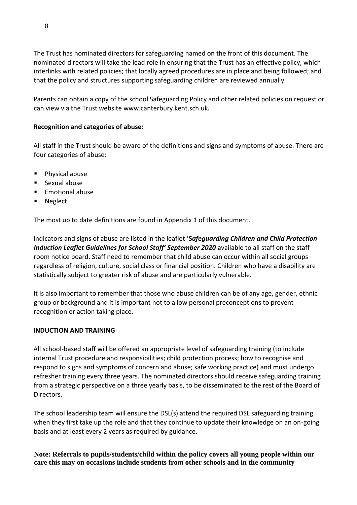The Trust has nominated directors for safeguarding named on the front of this document. The nominated directors will take the lead role in ensuring that the Trust has an effective policy, which interlinks with related policies; that locally agreed procedures are in place and being followed; and that the policy and structures supporting safeguarding children are reviewed annually.

Parents can obtain a copy of the school Safeguarding Policy and other related policies on request or can view via the Trust website www.canterbury.kent.sch.uk*.* 

#### **Recognition and categories of abuse:**

All staff in the Trust should be aware of the definitions and signs and symptoms of abuse. There are four categories of abuse:

- Physical abuse
- Sexual abuse
- Emotional abuse
- Neglect

The most up to date definitions are found in Appendix 1 of this document.

Indicators and signs of abuse are listed in the leaflet '**S***afeguarding Children and Child Protection - Induction Leaflet Guidelines for School Staff' September 2020* available to all staff on the staff room notice board. Staff need to remember that child abuse can occur within all social groups regardless of religion, culture, social class or financial position. Children who have a disability are statistically subject to greater risk of abuse and are particularly vulnerable.

It is also important to remember that those who abuse children can be of any age, gender, ethnic group or background and it is important not to allow personal preconceptions to prevent recognition or action taking place.

#### **INDUCTION AND TRAINING**

All school-based staff will be offered an appropriate level of safeguarding training (to include internal Trust procedure and responsibilities; child protection process; how to recognise and respond to signs and symptoms of concern and abuse; safe working practice) and must undergo refresher training every three years. The nominated directors should receive safeguarding training from a strategic perspective on a three yearly basis, to be disseminated to the rest of the Board of Directors.

The school leadership team will ensure the DSL(s) attend the required DSL safeguarding training when they first take up the role and that they continue to update their knowledge on an on-going basis and at least every 2 years as required by guidance.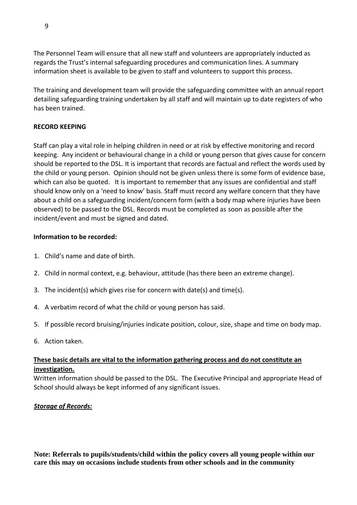The Personnel Team will ensure that all new staff and volunteers are appropriately inducted as regards the Trust's internal safeguarding procedures and communication lines. A summary information sheet is available to be given to staff and volunteers to support this process.

The training and development team will provide the safeguarding committee with an annual report detailing safeguarding training undertaken by all staff and will maintain up to date registers of who has been trained.

### **RECORD KEEPING**

Staff can play a vital role in helping children in need or at risk by effective monitoring and record keeping. Any incident or behavioural change in a child or young person that gives cause for concern should be reported to the DSL. It is important that records are factual and reflect the words used by the child or young person. Opinion should not be given unless there is some form of evidence base, which can also be quoted. It is important to remember that any issues are confidential and staff should know only on a 'need to know' basis. Staff must record any welfare concern that they have about a child on a safeguarding incident/concern form (with a body map where injuries have been observed) to be passed to the DSL. Records must be completed as soon as possible after the incident/event and must be signed and dated.

#### **Information to be recorded:**

- 1. Child's name and date of birth.
- 2. Child in normal context, e.g. behaviour, attitude (has there been an extreme change).
- 3. The incident(s) which gives rise for concern with date(s) and time(s).
- 4. A verbatim record of what the child or young person has said.
- 5. If possible record bruising/injuries indicate position, colour, size, shape and time on body map.
- 6. Action taken.

### **These basic details are vital to the information gathering process and do not constitute an investigation.**

Written information should be passed to the DSL. The Executive Principal and appropriate Head of School should always be kept informed of any significant issues.

#### *Storage of Records:*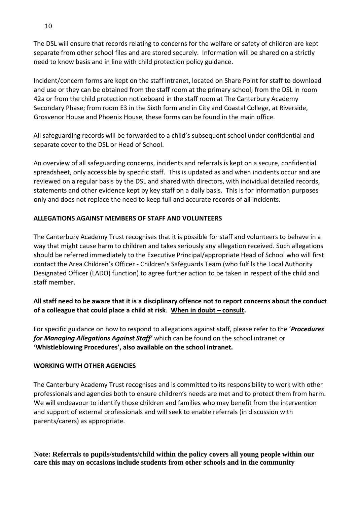The DSL will ensure that records relating to concerns for the welfare or safety of children are kept separate from other school files and are stored securely. Information will be shared on a strictly need to know basis and in line with child protection policy guidance.

Incident/concern forms are kept on the staff intranet, located on Share Point for staff to download and use or they can be obtained from the staff room at the primary school; from the DSL in room 42a or from the child protection noticeboard in the staff room at The Canterbury Academy Secondary Phase; from room E3 in the Sixth form and in City and Coastal College, at Riverside, Grosvenor House and Phoenix House, these forms can be found in the main office.

All safeguarding records will be forwarded to a child's subsequent school under confidential and separate cover to the DSL or Head of School.

An overview of all safeguarding concerns, incidents and referrals is kept on a secure, confidential spreadsheet, only accessible by specific staff. This is updated as and when incidents occur and are reviewed on a regular basis by the DSL and shared with directors, with individual detailed records, statements and other evidence kept by key staff on a daily basis. This is for information purposes only and does not replace the need to keep full and accurate records of all incidents.

## **ALLEGATIONS AGAINST MEMBERS OF STAFF AND VOLUNTEERS**

The Canterbury Academy Trust recognises that it is possible for staff and volunteers to behave in a way that might cause harm to children and takes seriously any allegation received. Such allegations should be referred immediately to the Executive Principal/appropriate Head of School who will first contact the Area Children's Officer - Children's Safeguards Team (who fulfils the Local Authority Designated Officer (LADO) function) to agree further action to be taken in respect of the child and staff member.

## **All staff need to be aware that it is a disciplinary offence not to report concerns about the conduct of a colleague that could place a child at risk**. **When in doubt – consult.**

For specific guidance on how to respond to allegations against staff, please refer to the '*Procedures for Managing Allegations Against Staff'* which can be found on the school intranet or **'Whistleblowing Procedures', also available on the school intranet.** 

## **WORKING WITH OTHER AGENCIES**

The Canterbury Academy Trust recognises and is committed to its responsibility to work with other professionals and agencies both to ensure children's needs are met and to protect them from harm. We will endeavour to identify those children and families who may benefit from the intervention and support of external professionals and will seek to enable referrals (in discussion with parents/carers) as appropriate.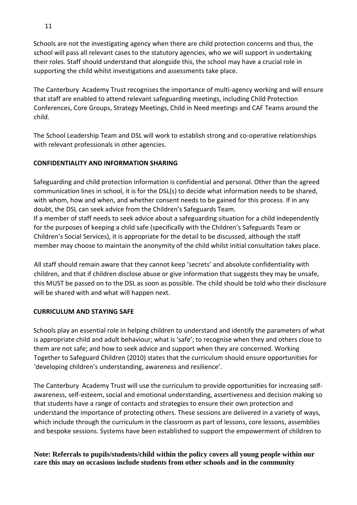Schools are not the investigating agency when there are child protection concerns and thus, the school will pass all relevant cases to the statutory agencies, who we will support in undertaking their roles. Staff should understand that alongside this, the school may have a crucial role in supporting the child whilst investigations and assessments take place.

The Canterbury Academy Trust recognises the importance of multi-agency working and will ensure that staff are enabled to attend relevant safeguarding meetings, including Child Protection Conferences, Core Groups, Strategy Meetings, Child in Need meetings and CAF Teams around the child.

The School Leadership Team and DSL will work to establish strong and co-operative relationships with relevant professionals in other agencies.

### **CONFIDENTIALITY AND INFORMATION SHARING**

Safeguarding and child protection information is confidential and personal. Other than the agreed communication lines in school, it is for the DSL(s) to decide what information needs to be shared, with whom, how and when, and whether consent needs to be gained for this process. If in any doubt, the DSL can seek advice from the Children's Safeguards Team.

If a member of staff needs to seek advice about a safeguarding situation for a child independently for the purposes of keeping a child safe (specifically with the Children's Safeguards Team or Children's Social Services), it is appropriate for the detail to be discussed, although the staff member may choose to maintain the anonymity of the child whilst initial consultation takes place.

All staff should remain aware that they cannot keep 'secrets' and absolute confidentiality with children, and that if children disclose abuse or give information that suggests they may be unsafe, this MUST be passed on to the DSL as soon as possible. The child should be told who their disclosure will be shared with and what will happen next.

#### **CURRICULUM AND STAYING SAFE**

Schools play an essential role in helping children to understand and identify the parameters of what is appropriate child and adult behaviour; what is 'safe'; to recognise when they and others close to them are not safe; and how to seek advice and support when they are concerned. Working Together to Safeguard Children (2010) states that the curriculum should ensure opportunities for 'developing children's understanding, awareness and resilience'.

The Canterbury Academy Trust will use the curriculum to provide opportunities for increasing selfawareness, self-esteem, social and emotional understanding, assertiveness and decision making so that students have a range of contacts and strategies to ensure their own protection and understand the importance of protecting others. These sessions are delivered in a variety of ways, which include through the curriculum in the classroom as part of lessons, core lessons, assemblies and bespoke sessions. Systems have been established to support the empowerment of children to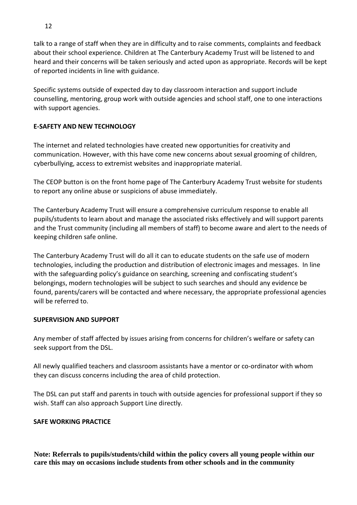talk to a range of staff when they are in difficulty and to raise comments, complaints and feedback about their school experience. Children at The Canterbury Academy Trust will be listened to and heard and their concerns will be taken seriously and acted upon as appropriate. Records will be kept of reported incidents in line with guidance.

Specific systems outside of expected day to day classroom interaction and support include counselling, mentoring, group work with outside agencies and school staff, one to one interactions with support agencies.

### **E-SAFETY AND NEW TECHNOLOGY**

The internet and related technologies have created new opportunities for creativity and communication. However, with this have come new concerns about sexual grooming of children, cyberbullying, access to extremist websites and inappropriate material.

The CEOP button is on the front home page of The Canterbury Academy Trust website for students to report any online abuse or suspicions of abuse immediately.

The Canterbury Academy Trust will ensure a comprehensive curriculum response to enable all pupils/students to learn about and manage the associated risks effectively and will support parents and the Trust community (including all members of staff) to become aware and alert to the needs of keeping children safe online.

The Canterbury Academy Trust will do all it can to educate students on the safe use of modern technologies, including the production and distribution of electronic images and messages. In line with the safeguarding policy's guidance on searching, screening and confiscating student's belongings, modern technologies will be subject to such searches and should any evidence be found, parents/carers will be contacted and where necessary, the appropriate professional agencies will be referred to.

#### **SUPERVISION AND SUPPORT**

Any member of staff affected by issues arising from concerns for children's welfare or safety can seek support from the DSL.

All newly qualified teachers and classroom assistants have a mentor or co-ordinator with whom they can discuss concerns including the area of child protection.

The DSL can put staff and parents in touch with outside agencies for professional support if they so wish. Staff can also approach Support Line directly.

#### **SAFE WORKING PRACTICE**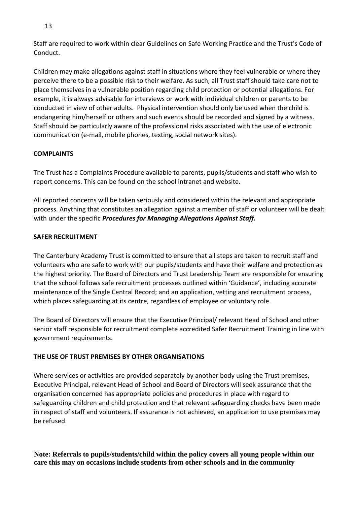Staff are required to work within clear Guidelines on Safe Working Practice and the Trust's Code of Conduct.

Children may make allegations against staff in situations where they feel vulnerable or where they perceive there to be a possible risk to their welfare. As such, all Trust staff should take care not to place themselves in a vulnerable position regarding child protection or potential allegations. For example, it is always advisable for interviews or work with individual children or parents to be conducted in view of other adults. Physical intervention should only be used when the child is endangering him/herself or others and such events should be recorded and signed by a witness. Staff should be particularly aware of the professional risks associated with the use of electronic communication (e-mail, mobile phones, texting, social network sites).

## **COMPLAINTS**

The Trust has a Complaints Procedure available to parents, pupils/students and staff who wish to report concerns. This can be found on the school intranet and website.

All reported concerns will be taken seriously and considered within the relevant and appropriate process. Anything that constitutes an allegation against a member of staff or volunteer will be dealt with under the specific *Procedures for Managing Allegations Against Staff.*

## **SAFER RECRUITMENT**

The Canterbury Academy Trust is committed to ensure that all steps are taken to recruit staff and volunteers who are safe to work with our pupils/students and have their welfare and protection as the highest priority. The Board of Directors and Trust Leadership Team are responsible for ensuring that the school follows safe recruitment processes outlined within 'Guidance', including accurate maintenance of the Single Central Record; and an application, vetting and recruitment process, which places safeguarding at its centre, regardless of employee or voluntary role.

The Board of Directors will ensure that the Executive Principal/ relevant Head of School and other senior staff responsible for recruitment complete accredited Safer Recruitment Training in line with government requirements.

## **THE USE OF TRUST PREMISES BY OTHER ORGANISATIONS**

Where services or activities are provided separately by another body using the Trust premises, Executive Principal, relevant Head of School and Board of Directors will seek assurance that the organisation concerned has appropriate policies and procedures in place with regard to safeguarding children and child protection and that relevant safeguarding checks have been made in respect of staff and volunteers. If assurance is not achieved, an application to use premises may be refused.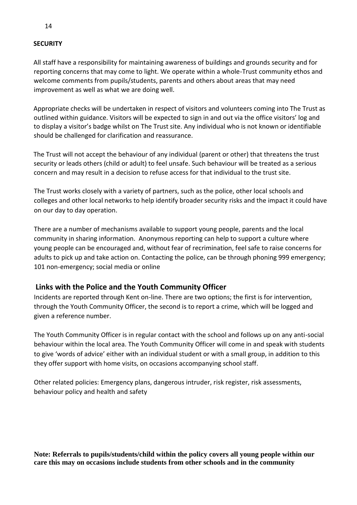#### **SECURITY**

All staff have a responsibility for maintaining awareness of buildings and grounds security and for reporting concerns that may come to light. We operate within a whole-Trust community ethos and welcome comments from pupils/students, parents and others about areas that may need improvement as well as what we are doing well.

Appropriate checks will be undertaken in respect of visitors and volunteers coming into The Trust as outlined within guidance. Visitors will be expected to sign in and out via the office visitors' log and to display a visitor's badge whilst on The Trust site. Any individual who is not known or identifiable should be challenged for clarification and reassurance.

The Trust will not accept the behaviour of any individual (parent or other) that threatens the trust security or leads others (child or adult) to feel unsafe. Such behaviour will be treated as a serious concern and may result in a decision to refuse access for that individual to the trust site.

The Trust works closely with a variety of partners, such as the police, other local schools and colleges and other local networks to help identify broader security risks and the impact it could have on our day to day operation.

There are a number of mechanisms available to support young people, parents and the local community in sharing information. Anonymous reporting can help to support a culture where young people can be encouraged and, without fear of recrimination, feel safe to raise concerns for adults to pick up and take action on. Contacting the police, can be through phoning 999 emergency; 101 non-emergency; social media or online

## **Links with the Police and the Youth Community Officer**

Incidents are reported through Kent on-line. There are two options; the first is for intervention, through the Youth Community Officer, the second is to report a crime, which will be logged and given a reference number.

The Youth Community Officer is in regular contact with the school and follows up on any anti-social behaviour within the local area. The Youth Community Officer will come in and speak with students to give 'words of advice' either with an individual student or with a small group, in addition to this they offer support with home visits, on occasions accompanying school staff.

Other related policies: Emergency plans, dangerous intruder, risk register, risk assessments, behaviour policy and health and safety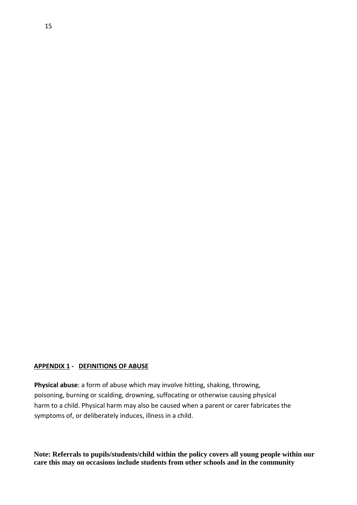#### **APPENDIX 1 - DEFINITIONS OF ABUSE**

**Physical abuse**: a form of abuse which may involve hitting, shaking, throwing, poisoning, burning or scalding, drowning, suffocating or otherwise causing physical harm to a child. Physical harm may also be caused when a parent or carer fabricates the symptoms of, or deliberately induces, illness in a child.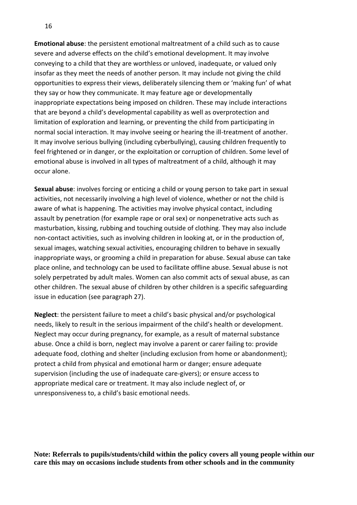**Emotional abuse**: the persistent emotional maltreatment of a child such as to cause severe and adverse effects on the child's emotional development. It may involve conveying to a child that they are worthless or unloved, inadequate, or valued only insofar as they meet the needs of another person. It may include not giving the child opportunities to express their views, deliberately silencing them or 'making fun' of what they say or how they communicate. It may feature age or developmentally inappropriate expectations being imposed on children. These may include interactions that are beyond a child's developmental capability as well as overprotection and limitation of exploration and learning, or preventing the child from participating in normal social interaction. It may involve seeing or hearing the ill-treatment of another. It may involve serious bullying (including cyberbullying), causing children frequently to feel frightened or in danger, or the exploitation or corruption of children. Some level of emotional abuse is involved in all types of maltreatment of a child, although it may occur alone.

**Sexual abuse**: involves forcing or enticing a child or young person to take part in sexual activities, not necessarily involving a high level of violence, whether or not the child is aware of what is happening. The activities may involve physical contact, including assault by penetration (for example rape or oral sex) or nonpenetrative acts such as masturbation, kissing, rubbing and touching outside of clothing. They may also include non-contact activities, such as involving children in looking at, or in the production of, sexual images, watching sexual activities, encouraging children to behave in sexually inappropriate ways, or grooming a child in preparation for abuse. Sexual abuse can take place online, and technology can be used to facilitate offline abuse. Sexual abuse is not solely perpetrated by adult males. Women can also commit acts of sexual abuse, as can other children. The sexual abuse of children by other children is a specific safeguarding issue in education (see paragraph 27).

**Neglect**: the persistent failure to meet a child's basic physical and/or psychological needs, likely to result in the serious impairment of the child's health or development. Neglect may occur during pregnancy, for example, as a result of maternal substance abuse. Once a child is born, neglect may involve a parent or carer failing to: provide adequate food, clothing and shelter (including exclusion from home or abandonment); protect a child from physical and emotional harm or danger; ensure adequate supervision (including the use of inadequate care-givers); or ensure access to appropriate medical care or treatment. It may also include neglect of, or unresponsiveness to, a child's basic emotional needs.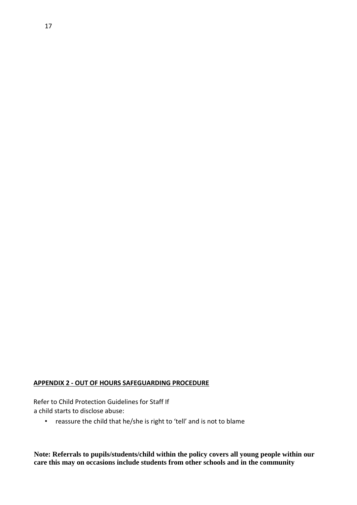#### **APPENDIX 2 - OUT OF HOURS SAFEGUARDING PROCEDURE**

Refer to Child Protection Guidelines for Staff If a child starts to disclose abuse:

• reassure the child that he/she is right to 'tell' and is not to blame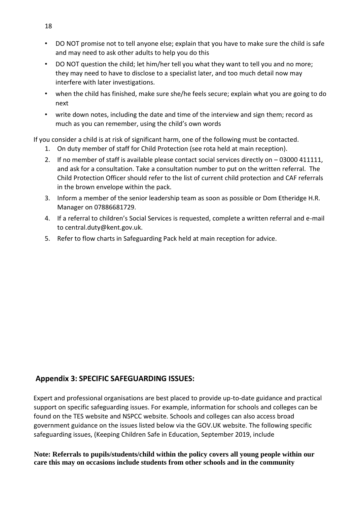- DO NOT promise not to tell anyone else; explain that you have to make sure the child is safe and may need to ask other adults to help you do this
- DO NOT question the child; let him/her tell you what they want to tell you and no more; they may need to have to disclose to a specialist later, and too much detail now may interfere with later investigations.
- when the child has finished, make sure she/he feels secure; explain what you are going to do next
- write down notes, including the date and time of the interview and sign them; record as much as you can remember, using the child's own words

If you consider a child is at risk of significant harm, one of the following must be contacted.

- 1. On duty member of staff for Child Protection (see rota held at main reception).
- 2. If no member of staff is available please contact social services directly on 03000 411111, and ask for a consultation. Take a consultation number to put on the written referral. The Child Protection Officer should refer to the list of current child protection and CAF referrals in the brown envelope within the pack.
- 3. Inform a member of the senior leadership team as soon as possible or Dom Etheridge H.R. Manager on 07886681729.
- 4. If a referral to children's Social Services is requested, complete a written referral and e-mail to central.duty@kent.gov.uk.
- 5. Refer to flow charts in Safeguarding Pack held at main reception for advice.

## **Appendix 3: SPECIFIC SAFEGUARDING ISSUES:**

Expert and professional organisations are best placed to provide up-to-date guidance and practical support on specific safeguarding issues. For example, information for schools and colleges can be found on the TES website and NSPCC website. Schools and colleges can also access broad government guidance on the issues listed below via the GOV.UK website. The following specific safeguarding issues, (Keeping Children Safe in Education, September 2019, include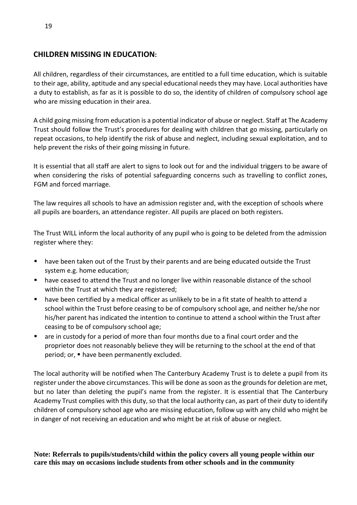## **CHILDREN MISSING IN EDUCATION:**

All children, regardless of their circumstances, are entitled to a full time education, which is suitable to their age, ability, aptitude and any special educational needs they may have. Local authorities have a duty to establish, as far as it is possible to do so, the identity of children of compulsory school age who are missing education in their area.

A child going missing from education is a potential indicator of abuse or neglect. Staff at The Academy Trust should follow the Trust's procedures for dealing with children that go missing, particularly on repeat occasions, to help identify the risk of abuse and neglect, including sexual exploitation, and to help prevent the risks of their going missing in future.

It is essential that all staff are alert to signs to look out for and the individual triggers to be aware of when considering the risks of potential safeguarding concerns such as travelling to conflict zones, FGM and forced marriage.

The law requires all schools to have an admission register and, with the exception of schools where all pupils are boarders, an attendance register. All pupils are placed on both registers.

The Trust WILL inform the local authority of any pupil who is going to be deleted from the admission register where they:

- have been taken out of the Trust by their parents and are being educated outside the Trust system e.g. home education;
- have ceased to attend the Trust and no longer live within reasonable distance of the school within the Trust at which they are registered;
- have been certified by a medical officer as unlikely to be in a fit state of health to attend a school within the Trust before ceasing to be of compulsory school age, and neither he/she nor his/her parent has indicated the intention to continue to attend a school within the Trust after ceasing to be of compulsory school age;
- are in custody for a period of more than four months due to a final court order and the proprietor does not reasonably believe they will be returning to the school at the end of that period; or, ▪ have been permanently excluded.

The local authority will be notified when The Canterbury Academy Trust is to delete a pupil from its register under the above circumstances. This will be done as soon as the grounds for deletion are met, but no later than deleting the pupil's name from the register. It is essential that The Canterbury Academy Trust complies with this duty, so that the local authority can, as part of their duty to identify children of compulsory school age who are missing education, follow up with any child who might be in danger of not receiving an education and who might be at risk of abuse or neglect.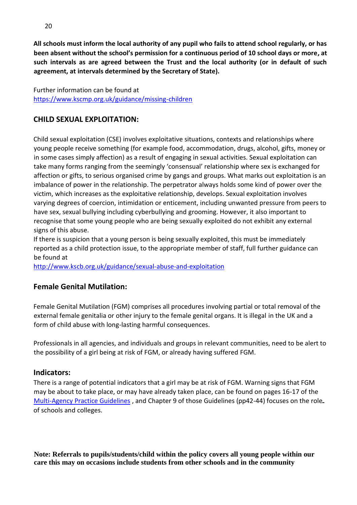**All schools must inform the local authority of any pupil who fails to attend school regularly, or has been absent without the school's permission for a continuous period of 10 school days or more, at such intervals as are agreed between the Trust and the local authority (or in default of such agreement, at intervals determined by the Secretary of State).** 

Further information can be found at <https://www.kscmp.org.uk/guidance/missing-children>

## **CHILD SEXUAL EXPLOITATION:**

Child sexual exploitation (CSE) involves exploitative situations, contexts and relationships where young people receive something (for example food, accommodation, drugs, alcohol, gifts, money or in some cases simply affection) as a result of engaging in sexual activities. Sexual exploitation can take many forms ranging from the seemingly 'consensual' relationship where sex is exchanged for affection or gifts, to serious organised crime by gangs and groups. What marks out exploitation is an imbalance of power in the relationship. The perpetrator always holds some kind of power over the victim, which increases as the exploitative relationship, develops. Sexual exploitation involves varying degrees of coercion, intimidation or enticement, including unwanted pressure from peers to have sex, sexual bullying including cyberbullying and grooming. However, it also important to recognise that some young people who are being sexually exploited do not exhibit any external signs of this abuse.

If there is suspicion that a young person is being sexually exploited, this must be immediately reported as a child protection issue, to the appropriate member of staff, full further guidance can be found at

<http://www.kscb.org.uk/guidance/sexual-abuse-and-exploitation>

## **Female Genital Mutilation:**

Female Genital Mutilation (FGM) comprises all procedures involving partial or total removal of the external female genitalia or other injury to the female genital organs. It is illegal in the UK and a form of child abuse with long-lasting harmful consequences.

Professionals in all agencies, and individuals and groups in relevant communities, need to be alert to the possibility of a girl being at risk of FGM, or already having suffered FGM.

## **Indicators:**

There is a range of potential indicators that a girl may be at risk of FGM. Warning signs that FGM may be about to take place, or may have already taken place, can be found on pages 16-17 of the [Multi-Agency](https://www.gov.uk/government/publications/female-genital-mutilation-guidelines) [Practice Guidelines](https://www.gov.uk/government/publications/female-genital-mutilation-guidelines) [,](https://www.gov.uk/government/publications/female-genital-mutilation-guidelines) and Chapter 9 of those Guidelines (pp42-44) focuses on the role of schools and colleges.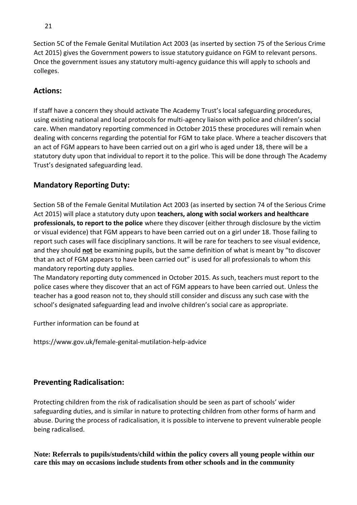Section 5C of the Female Genital Mutilation Act 2003 (as inserted by section 75 of the Serious Crime Act 2015) gives the Government powers to issue statutory guidance on FGM to relevant persons. Once the government issues any statutory multi-agency guidance this will apply to schools and colleges.

## **Actions:**

If staff have a concern they should activate The Academy Trust's local safeguarding procedures, using existing national and local protocols for multi-agency liaison with police and children's social care. When mandatory reporting commenced in October 2015 these procedures will remain when dealing with concerns regarding the potential for FGM to take place. Where a teacher discovers that an act of FGM appears to have been carried out on a girl who is aged under 18, there will be a statutory duty upon that individual to report it to the police. This will be done through The Academy Trust's designated safeguarding lead.

## **Mandatory Reporting Duty:**

Section 5B of the Female Genital Mutilation Act 2003 (as inserted by section 74 of the Serious Crime Act 2015) will place a statutory duty upon **teachers, along with social workers and healthcare professionals, to report to the police** where they discover (either through disclosure by the victim or visual evidence) that FGM appears to have been carried out on a girl under 18. Those failing to report such cases will face disciplinary sanctions. It will be rare for teachers to see visual evidence, and they should **not** be examining pupils, but the same definition of what is meant by "to discover that an act of FGM appears to have been carried out" is used for all professionals to whom this mandatory reporting duty applies.

The Mandatory reporting duty commenced in October 2015. As such, teachers must report to the police cases where they discover that an act of FGM appears to have been carried out. Unless the teacher has a good reason not to, they should still consider and discuss any such case with the school's designated safeguarding lead and involve children's social care as appropriate.

Further information can be found at

https://www.gov.uk/female-genital-mutilation-help-advice

## **Preventing Radicalisation:**

Protecting children from the risk of radicalisation should be seen as part of schools' wider safeguarding duties, and is similar in nature to protecting children from other forms of harm and abuse. During the process of radicalisation, it is possible to intervene to prevent vulnerable people being radicalised.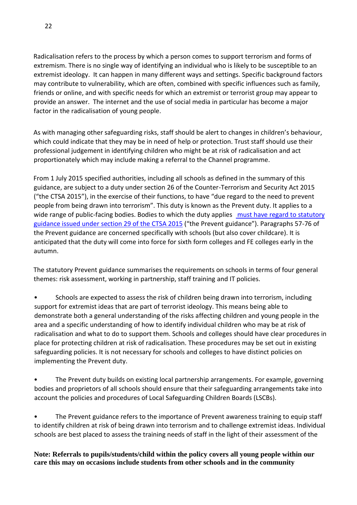Radicalisation refers to the process by which a person comes to support terrorism and forms of extremism. There is no single way of identifying an individual who is likely to be susceptible to an extremist ideology. It can happen in many different ways and settings. Specific background factors may contribute to vulnerability, which are often, combined with specific influences such as family, friends or online, and with specific needs for which an extremist or terrorist group may appear to provide an answer. The internet and the use of social media in particular has become a major factor in the radicalisation of young people.

As with managing other safeguarding risks, staff should be alert to changes in children's behaviour, which could indicate that they may be in need of help or protection. Trust staff should use their professional judgement in identifying children who might be at risk of radicalisation and act proportionately which may include making a referral to the Channel programme.

From 1 July 2015 specified authorities, including all schools as defined in the summary of this guidance, are subject to a duty under section 26 of the Counter-Terrorism and Security Act 2015 ("the CTSA 2015"), in the exercise of their functions, to have "due regard to the need to prevent people from being drawn into terrorism". This duty is known as the Prevent duty. It applies to a wide range of public-facing bodies. Bodies to which the duty applies [must](https://www.gov.uk/government/publications/prevent-duty-guidance) [have](https://www.gov.uk/government/publications/prevent-duty-guidance) [regard to statutory](https://www.gov.uk/government/publications/prevent-duty-guidance) [guidance issued under](https://www.gov.uk/government/publications/prevent-duty-guidance) [section 29 of](https://www.gov.uk/government/publications/prevent-duty-guidance) [the CTSA](https://www.gov.uk/government/publications/prevent-duty-guidance) [2015](https://www.gov.uk/government/publications/prevent-duty-guidance) [\(](https://www.gov.uk/government/publications/prevent-duty-guidance)"the Prevent guidance"). Paragraphs 57-76 of the Prevent guidance are concerned specifically with schools (but also cover childcare). It is anticipated that the duty will come into force for sixth form colleges and FE colleges early in the autumn.

The statutory Prevent guidance summarises the requirements on schools in terms of four general themes: risk assessment, working in partnership, staff training and IT policies.

• Schools are expected to assess the risk of children being drawn into terrorism, including support for extremist ideas that are part of terrorist ideology. This means being able to demonstrate both a general understanding of the risks affecting children and young people in the area and a specific understanding of how to identify individual children who may be at risk of radicalisation and what to do to support them. Schools and colleges should have clear procedures in place for protecting children at risk of radicalisation. These procedures may be set out in existing safeguarding policies. It is not necessary for schools and colleges to have distinct policies on implementing the Prevent duty.

• The Prevent duty builds on existing local partnership arrangements. For example, governing bodies and proprietors of all schools should ensure that their safeguarding arrangements take into account the policies and procedures of Local Safeguarding Children Boards (LSCBs).

• The Prevent guidance refers to the importance of Prevent awareness training to equip staff to identify children at risk of being drawn into terrorism and to challenge extremist ideas. Individual schools are best placed to assess the training needs of staff in the light of their assessment of the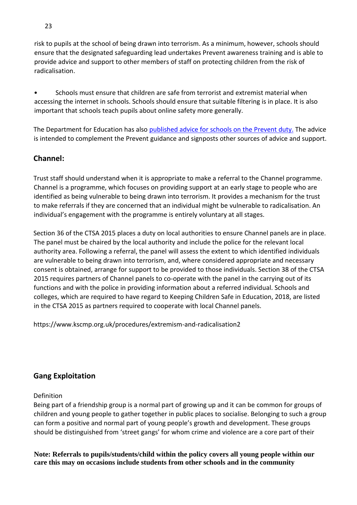risk to pupils at the school of being drawn into terrorism. As a minimum, however, schools should ensure that the designated safeguarding lead undertakes Prevent awareness training and is able to provide advice and support to other members of staff on protecting children from the risk of radicalisation.

• Schools must ensure that children are safe from terrorist and extremist material when accessing the internet in schools. Schools should ensure that suitable filtering is in place. It is also important that schools teach pupils about online safety more generally.

The Department for Education has also [published advice for](https://www.gov.uk/government/publications/protecting-children-from-radicalisation-the-prevent-duty) [schools](https://www.gov.uk/government/publications/protecting-children-from-radicalisation-the-prevent-duty) [on the Prevent](https://www.gov.uk/government/publications/protecting-children-from-radicalisation-the-prevent-duty) [duty.](https://www.gov.uk/government/publications/protecting-children-from-radicalisation-the-prevent-duty) [Th](https://www.gov.uk/government/publications/protecting-children-from-radicalisation-the-prevent-duty)e advice is intended to complement the Prevent guidance and signposts other sources of advice and support.

## **Channel:**

Trust staff should understand when it is appropriate to make a referral to the Channel programme. Channel is a programme, which focuses on providing support at an early stage to people who are identified as being vulnerable to being drawn into terrorism. It provides a mechanism for the trust to make referrals if they are concerned that an individual might be vulnerable to radicalisation. An individual's engagement with the programme is entirely voluntary at all stages.

Section 36 of the CTSA 2015 places a duty on local authorities to ensure Channel panels are in place. The panel must be chaired by the local authority and include the police for the relevant local authority area. Following a referral, the panel will assess the extent to which identified individuals are vulnerable to being drawn into terrorism, and, where considered appropriate and necessary consent is obtained, arrange for support to be provided to those individuals. Section 38 of the CTSA 2015 requires partners of Channel panels to co-operate with the panel in the carrying out of its functions and with the police in providing information about a referred individual. Schools and colleges, which are required to have regard to Keeping Children Safe in Education, 2018, are listed in the CTSA 2015 as partners required to cooperate with local Channel panels.

https://www.kscmp.org.uk/procedures/extremism-and-radicalisation2

## **Gang Exploitation**

## Definition

Being part of a friendship group is a normal part of growing up and it can be common for groups of children and young people to gather together in public places to socialise. Belonging to such a group can form a positive and normal part of young people's growth and development. These groups should be distinguished from 'street gangs' for whom crime and violence are a core part of their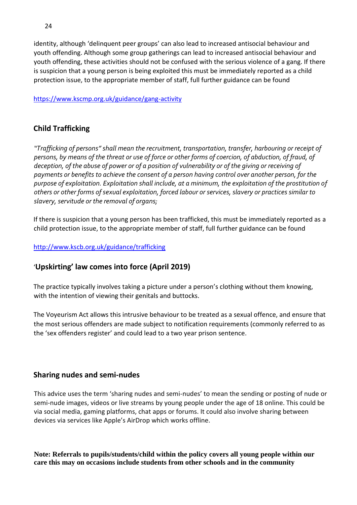identity, although 'delinquent peer groups' can also lead to increased antisocial behaviour and youth offending. Although some group gatherings can lead to increased antisocial behaviour and youth offending, these activities should not be confused with the serious violence of a gang. If there is suspicion that a young person is being exploited this must be immediately reported as a child protection issue, to the appropriate member of staff, full further guidance can be found

#### <https://www.kscmp.org.uk/guidance/gang-activity>

## **Child Trafficking**

*"Trafficking of persons" shall mean the recruitment, transportation, transfer, harbouring or receipt of persons, by means of the threat or use of force or other forms of coercion, of abduction, of fraud, of deception, of the abuse of power or of a position of vulnerability or of the giving or receiving of payments or benefits to achieve the consent of a person having control over another person, for the purpose of exploitation. Exploitation shall include, at a minimum, the exploitation of the prostitution of others or other forms of sexual exploitation, forced labour or services, slavery or practices similar to slavery, servitude or the removal of organs;* 

If there is suspicion that a young person has been trafficked, this must be immediately reported as a child protection issue, to the appropriate member of staff, full further guidance can be found

#### <http://www.kscb.org.uk/guidance/trafficking>

## '**Upskirting' law comes into force (April 2019)**

The practice typically involves taking a picture under a person's clothing without them knowing, with the intention of viewing their genitals and buttocks.

The Voyeurism Act allows this intrusive behaviour to be treated as a sexual offence, and ensure that the most serious offenders are made subject to notification requirements (commonly referred to as the 'sex offenders register' and could lead to a two year prison sentence.

## **Sharing nudes and semi-nudes**

This advice uses the term 'sharing nudes and semi-nudes' to mean the sending or posting of nude or semi-nude images, videos or live streams by young people under the age of 18 online. This could be via social media, gaming platforms, chat apps or forums. It could also involve sharing between devices via services like Apple's AirDrop which works offline.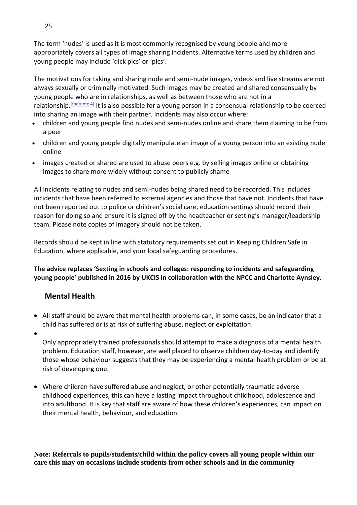The term 'nudes' is used as it is most commonly recognised by young people and more appropriately covers all types of image sharing incidents. Alternative terms used by children and young people may include 'dick pics' or 'pics'.

The motivations for taking and sharing nude and semi-nude images, videos and live streams are not always sexually or criminally motivated. Such images may be created and shared consensually by young people who are in relationships, as well as between those who are not in a relationship. **[\[footnote](https://www.gov.uk/government/publications/sharing-nudes-and-semi-nudes-advice-for-education-settings-working-with-children-and-young-people/sharing-nudes-and-semi-nudes-advice-for-education-settings-working-with-children-and-young-people#fn:4) 4]** It is also possible for a young person in a consensual relationship to be coerced into sharing an image with their partner. Incidents may also occur where:

- children and young people find nudes and semi-nudes online and share them claiming to be from a peer
- children and young people digitally manipulate an image of a young person into an existing nude online
- images created or shared are used to abuse peers e.g. by selling images online or obtaining images to share more widely without consent to publicly shame

All incidents relating to nudes and semi-nudes being shared need to be recorded. This includes incidents that have been referred to external agencies and those that have not. Incidents that have not been reported out to police or children's social care, education settings should record their reason for doing so and ensure it is signed off by the headteacher or setting's manager/leadership team. Please note copies of imagery should not be taken.

Records should be kept in line with statutory requirements set out in Keeping Children Safe in Education, where applicable, and your local safeguarding procedures.

**The advice replaces 'Sexting in schools and colleges: responding to incidents and safeguarding young people' published in 2016 by UKCIS in collaboration with the NPCC and Charlotte Aynsley.** 

## **Mental Health**

- All staff should be aware that mental health problems can, in some cases, be an indicator that a child has suffered or is at risk of suffering abuse, neglect or exploitation.
- •

Only appropriately trained professionals should attempt to make a diagnosis of a mental health problem. Education staff, however, are well placed to observe children day-to-day and identify those whose behaviour suggests that they may be experiencing a mental health problem or be at risk of developing one.

• Where children have suffered abuse and neglect, or other potentially traumatic adverse childhood experiences, this can have a lasting impact throughout childhood, adolescence and into adulthood. It is key that staff are aware of how these children's experiences, can impact on their mental health, behaviour, and education.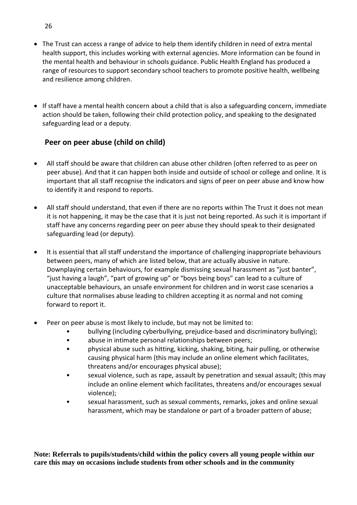- The Trust can access a range of advice to help them identify children in need of extra mental health support, this includes working with external agencies. More information can be found in the mental health and behaviour in schools guidance. Public Health England has produced a range of resources to support secondary school teachers to promote positive health, wellbeing and resilience among children.
- If staff have a mental health concern about a child that is also a safeguarding concern, immediate action should be taken, following their child protection policy, and speaking to the designated safeguarding lead or a deputy.

## **Peer on peer abuse (child on child)**

- All staff should be aware that children can abuse other children (often referred to as peer on peer abuse). And that it can happen both inside and outside of school or college and online. It is important that all staff recognise the indicators and signs of peer on peer abuse and know how to identify it and respond to reports.
- All staff should understand, that even if there are no reports within The Trust it does not mean it is not happening, it may be the case that it is just not being reported. As such it is important if staff have any concerns regarding peer on peer abuse they should speak to their designated safeguarding lead (or deputy).
- It is essential that all staff understand the importance of challenging inappropriate behaviours between peers, many of which are listed below, that are actually abusive in nature. Downplaying certain behaviours, for example dismissing sexual harassment as "just banter", "just having a laugh", "part of growing up" or "boys being boys" can lead to a culture of unacceptable behaviours, an unsafe environment for children and in worst case scenarios a culture that normalises abuse leading to children accepting it as normal and not coming forward to report it.
- Peer on peer abuse is most likely to include, but may not be limited to:
	- bullying (including cyberbullying, prejudice-based and discriminatory bullying);
	- abuse in intimate personal relationships between peers;
	- physical abuse such as hitting, kicking, shaking, biting, hair pulling, or otherwise causing physical harm (this may include an online element which facilitates, threatens and/or encourages physical abuse);
	- sexual violence, such as rape, assault by penetration and sexual assault; (this may include an online element which facilitates, threatens and/or encourages sexual violence);
	- sexual harassment, such as sexual comments, remarks, jokes and online sexual harassment, which may be standalone or part of a broader pattern of abuse;